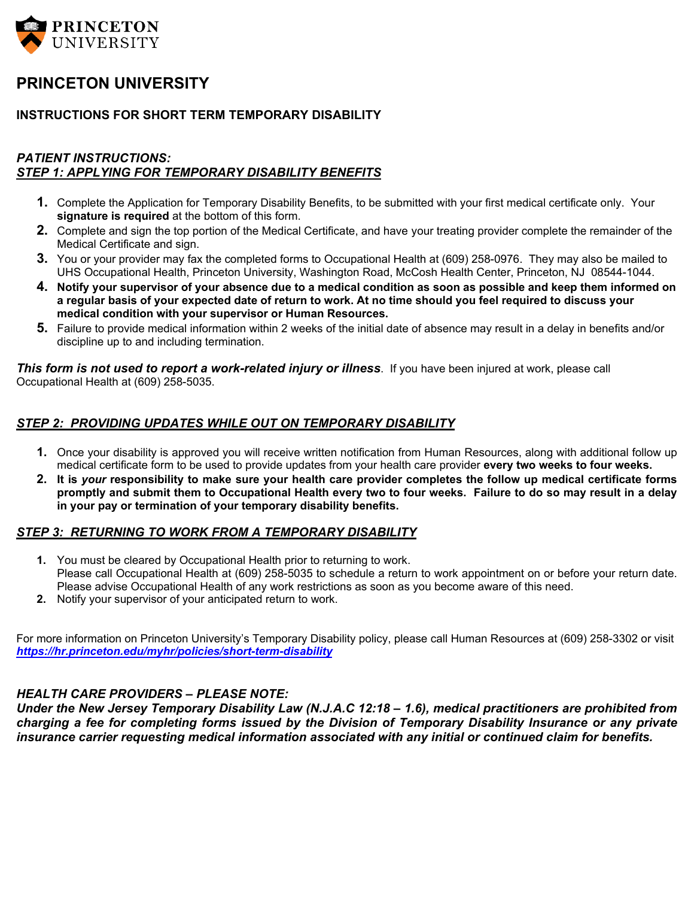

## **PRINCETON UNIVERSITY**

#### **INSTRUCTIONS FOR SHORT TERM TEMPORARY DISABILITY**

#### *PATIENT INSTRUCTIONS: STEP 1: APPLYING FOR TEMPORARY DISABILITY BENEFITS*

- **1.** Complete the Application for Temporary Disability Benefits, to be submitted with your first medical certificate only. Your **signature is required** at the bottom of this form.
- **2.** Complete and sign the top portion of the Medical Certificate, and have your treating provider complete the remainder of the Medical Certificate and sign.
- **3.** You or your provider may fax the completed forms to Occupational Health at (609) 258-0976. They may also be mailed to UHS Occupational Health, Princeton University, Washington Road, McCosh Health Center, Princeton, NJ 08544-1044.
- **4. Notify your supervisor of your absence due to a medical condition as soon as possible and keep them informed on a regular basis of your expected date of return to work. At no time should you feel required to discuss your medical condition with your supervisor or Human Resources.**
- **5.** Failure to provide medical information within 2 weeks of the initial date of absence may result in a delay in benefits and/or discipline up to and including termination.

*This form is not used to report a work-related injury or illness*. If you have been injured at work, please call Occupational Health at (609) 258-5035.

#### *STEP 2: PROVIDING UPDATES WHILE OUT ON TEMPORARY DISABILITY*

- **1.** Once your disability is approved you will receive written notification from Human Resources, along with additional follow up medical certificate form to be used to provide updates from your health care provider **every two weeks to four weeks.**
- **2. It is** *your* **responsibility to make sure your health care provider completes the follow up medical certificate forms promptly and submit them to Occupational Health every two to four weeks. Failure to do so may result in a delay in your pay or termination of your temporary disability benefits.**

#### *STEP 3: RETURNING TO WORK FROM A TEMPORARY DISABILITY*

- **1.** You must be cleared by Occupational Health prior to returning to work. Please call Occupational Health at (609) 258-5035 to schedule a return to work appointment on or before your return date. Please advise Occupational Health of any work restrictions as soon as you become aware of this need.
- **2.** Notify your supervisor of your anticipated return to work.

For more information on Princeton University's Temporary Disability policy, please call Human Resources at (609) 258-3302 or visit *<https://hr.princeton.edu/myhr/policies/short-term-disability>*

#### *HEALTH CARE PROVIDERS – PLEASE NOTE:*

*Under the New Jersey Temporary Disability Law (N.J.A.C 12:18 – 1.6), medical practitioners are prohibited from charging a fee for completing forms issued by the Division of Temporary Disability Insurance or any private insurance carrier requesting medical information associated with any initial or continued claim for benefits.*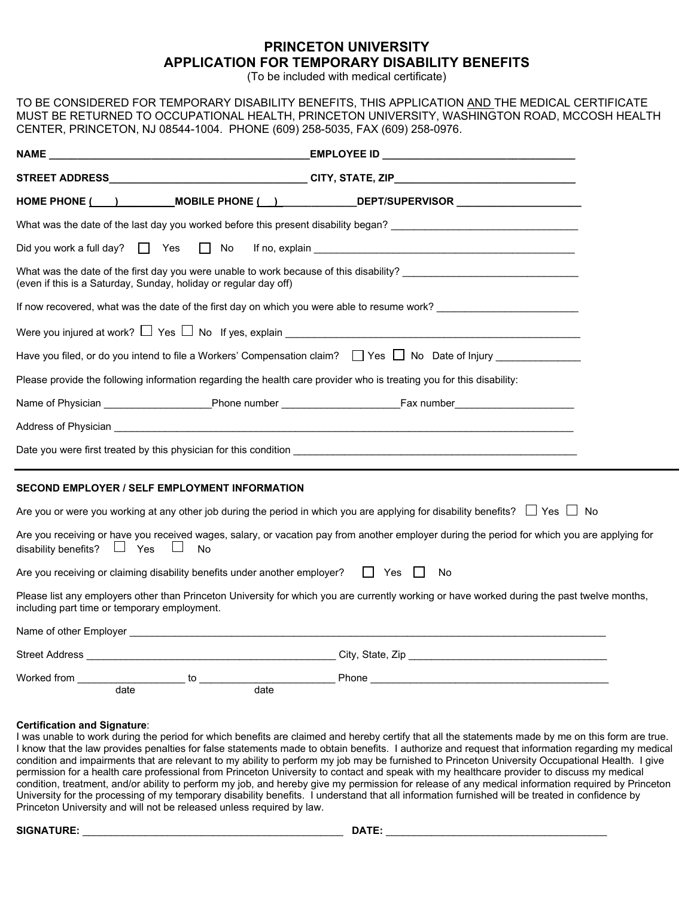### **PRINCETON UNIVERSITY APPLICATION FOR TEMPORARY DISABILITY BENEFITS**

(To be included with medical certificate)

TO BE CONSIDERED FOR TEMPORARY DISABILITY BENEFITS, THIS APPLICATION AND THE MEDICAL CERTIFICATE MUST BE RETURNED TO OCCUPATIONAL HEALTH, PRINCETON UNIVERSITY, WASHINGTON ROAD, MCCOSH HEALTH CENTER, PRINCETON, NJ 08544-1004. PHONE (609) 258-5035, FAX (609) 258-0976.

|                                                                                                                      |      | HOME PHONE ( ) MOBILE PHONE ( ) DEPT/SUPERVISOR                                                                                              |  |
|----------------------------------------------------------------------------------------------------------------------|------|----------------------------------------------------------------------------------------------------------------------------------------------|--|
|                                                                                                                      |      | What was the date of the last day you worked before this present disability began? ___________________________                               |  |
| Did you work a full day? $\Box$ Yes $\Box$ No                                                                        |      |                                                                                                                                              |  |
| (even if this is a Saturday, Sunday, holiday or regular day off)                                                     |      | What was the date of the first day you were unable to work because of this disability?                                                       |  |
|                                                                                                                      |      | If now recovered, what was the date of the first day on which you were able to resume work?<br>The work?                                     |  |
|                                                                                                                      |      | Were you injured at work? $\Box$ Yes $\Box$ No $\,$ If yes, explain $\_\_$                                                                   |  |
|                                                                                                                      |      | Have you filed, or do you intend to file a Workers' Compensation claim? $\Box$ Yes $\Box$ No Date of Injury                                  |  |
| Please provide the following information regarding the health care provider who is treating you for this disability: |      |                                                                                                                                              |  |
|                                                                                                                      |      | Name of Physician ______________________Phone number ___________________________Fax number___________________                                |  |
|                                                                                                                      |      |                                                                                                                                              |  |
|                                                                                                                      |      |                                                                                                                                              |  |
| <b>SECOND EMPLOYER / SELF EMPLOYMENT INFORMATION</b>                                                                 |      |                                                                                                                                              |  |
|                                                                                                                      |      | Are you or were you working at any other job during the period in which you are applying for disability benefits? $\Box$ Yes $\Box$ No       |  |
| disability benefits? $\Box$ Yes<br>$\mathbb{R}^n$<br>No                                                              |      | Are you receiving or have you received wages, salary, or vacation pay from another employer during the period for which you are applying for |  |
| Are you receiving or claiming disability benefits under another employer? $\Box$ Yes                                 |      | No                                                                                                                                           |  |
| including part time or temporary employment.                                                                         |      | Please list any employers other than Princeton University for which you are currently working or have worked during the past twelve months,  |  |
|                                                                                                                      |      |                                                                                                                                              |  |
|                                                                                                                      |      |                                                                                                                                              |  |
| date                                                                                                                 | date |                                                                                                                                              |  |

#### **Certification and Signature**:

I was unable to work during the period for which benefits are claimed and hereby certify that all the statements made by me on this form are true. I know that the law provides penalties for false statements made to obtain benefits. I authorize and request that information regarding my medical condition and impairments that are relevant to my ability to perform my job may be furnished to Princeton University Occupational Health. I give permission for a health care professional from Princeton University to contact and speak with my healthcare provider to discuss my medical condition, treatment, and/or ability to perform my job, and hereby give my permission for release of any medical information required by Princeton University for the processing of my temporary disability benefits. I understand that all information furnished will be treated in confidence by Princeton University and will not be released unless required by law.

**SIGNATURE:** \_\_\_\_\_\_\_\_\_\_\_\_\_\_\_\_\_\_\_\_\_\_\_\_\_\_\_\_\_\_\_\_\_\_\_\_\_\_\_\_\_\_\_\_\_\_ **DATE:** \_\_\_\_\_\_\_\_\_\_\_\_\_\_\_\_\_\_\_\_\_\_\_\_\_\_\_\_\_\_\_\_\_\_\_\_\_\_\_